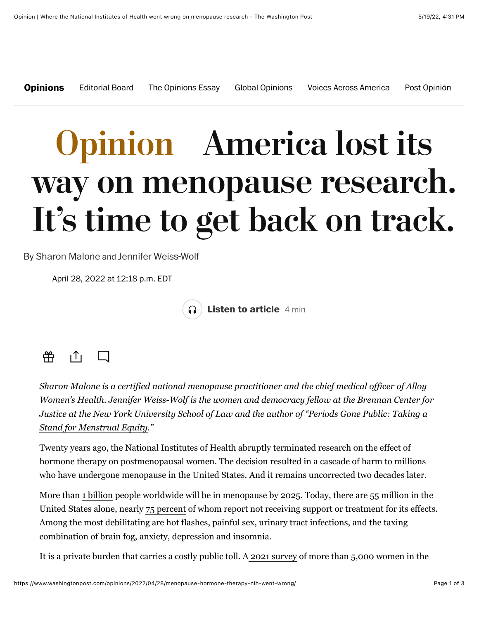**[Opinions](https://www.washingtonpost.com/opinions/?itid=sn_opinions_title)** [Editorial Board](https://www.washingtonpost.com/opinions/the-posts-view/?itid=sn_opinions_1/) [The Opinions Essay](https://www.washingtonpost.com/the-opinions-essay/?itid=sn_opinions_2/) [Global Opinions](https://www.washingtonpost.com/global-opinions/?itid=sn_opinions_3/) [Voices Across America](https://www.washingtonpost.com/opinions/voices-across-america/?itid=sn_opinions_4/) [Post Opinión](https://www.washingtonpost.com/es/post-opinion/?itid=sn_opinions_5/)

## **Opinion America lost its way on menopause research. It's time to get back on track.**

By Sharon Malone and Jennifer Weiss-Wolf

April 28, 2022 at 12:18 p.m. EDT

**Listen to article** 4 min



*Sharon Malone is a certified national menopause practitioner and the chief medical officer of Alloy Women's Health. Jennifer Weiss-Wolf is the women and democracy fellow at the Brennan Center for [Justice at the New York University School of Law and the author of "Periods Gone Public: Taking a](https://read.amazon.com/kp/embed?asin=B06XC6WKSF&preview=newtab&linkCode=kpe&ref_=cm_sw_r_kb_dp_VRQQE8Y8SGYGV61DD1CV&tag=thewaspos09-20) Stand for Menstrual Equity."*

Twenty years ago, the National Institutes of Health abruptly terminated research on the effect of hormone therapy on postmenopausal women. The decision resulted in a cascade of harm to millions who have undergone menopause in the United States. And it remains uncorrected two decades later.

More than [1 billion](https://www.menopause.org/publications/clinical-care-recommendations/chapter-1-menopause) people worldwide will be in menopause by 2025. Today, there are 55 million in the United States alone, nearly [75 percent](https://www.forbes.com/sites/debgordon/2021/07/13/73-of-women-dont-treat-their-menopause-symptoms-new-survey-shows/?sh=11c06b9b454f) of whom report not receiving support or treatment for its effects. Among the most debilitating are hot flashes, painful sex, urinary tract infections, and the taxing combination of brain fog, anxiety, depression and insomnia.

It is a private burden that carries a costly public toll. A [2021 survey](https://www.vodafone.com/sites/default/files/2021-10/menopause-global-research-report-2021.pdf) of more than 5,000 women in the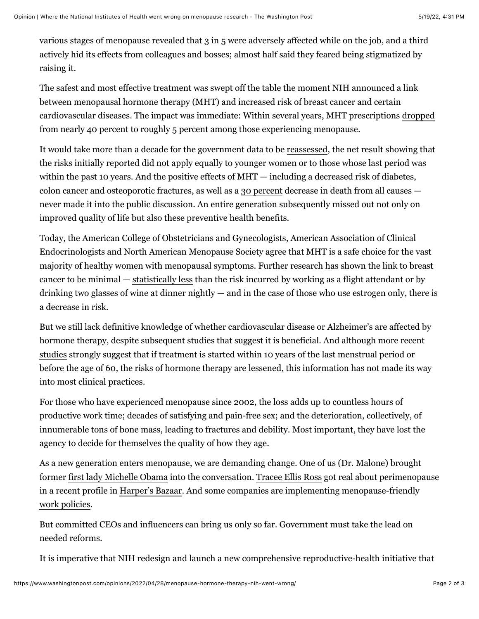various stages of menopause revealed that 3 in 5 were adversely affected while on the job, and a third actively hid its effects from colleagues and bosses; almost half said they feared being stigmatized by raising it.

The safest and most effective treatment was swept off the table the moment NIH announced a link between menopausal hormone therapy (MHT) and increased risk of breast cancer and certain cardiovascular diseases. The impact was immediate: Within several years, MHT prescriptions [dropped](https://academic.oup.com/jcem/article/98/5/1771/2536695) from nearly 40 percent to roughly 5 percent among those experiencing menopause.

It would take more than a decade for the government data to be [reassessed,](https://academic.oup.com/jcem/article/98/5/1771/2536695) the net result showing that the risks initially reported did not apply equally to younger women or to those whose last period was within the past 10 years. And the positive effects of MHT — including a decreased risk of diabetes, colon cancer and osteoporotic fractures, as well as a [30 percent](https://brighamhealthhub.org/menopausal-hormone-therapy-doesnt-raise-risk-of-premature-death/) decrease in death from all causes never made it into the public discussion. An entire generation subsequently missed out not only on improved quality of life but also these preventive health benefits.

Today, the American College of Obstetricians and Gynecologists, American Association of Clinical Endocrinologists and North American Menopause Society agree that MHT is a safe choice for the vast majority of healthy women with menopausal symptoms. [Further research](https://docs.google.com/document/d/1FenWX5jcKdjEmyaTLZEbPpWD7fOpDi-jWiAqbr9whwM/edit) has shown the link to breast cancer to be minimal — [statistically less](https://academic.oup.com/jcem/article/98/5/1771/2536695) than the risk incurred by working as a flight attendant or by drinking two glasses of wine at dinner nightly — and in the case of those who use estrogen only, there is a decrease in risk.

But we still lack definitive knowledge of whether cardiovascular disease or Alzheimer's are affected by hormone therapy, despite subsequent studies that suggest it is beneficial. And although more recent [studies](https://journals.lww.com/menopausejournal/Fulltext/2020/08000/The_Women_s_Health_Initiative_trials_of_menopausal.14.aspx) strongly suggest that if treatment is started within 10 years of the last menstrual period or before the age of 60, the risks of hormone therapy are lessened, this information has not made its way into most clinical practices.

For those who have experienced menopause since 2002, the loss adds up to countless hours of productive work time; decades of satisfying and pain-free sex; and the deterioration, collectively, of innumerable tons of bone mass, leading to fractures and debility. Most important, they have lost the agency to decide for themselves the quality of how they age.

As a new generation enters menopause, we are demanding change. One of us (Dr. Malone) brought former [first lady Michelle Obama](https://podcasts.apple.com/us/podcast/what-your-mother-never-told-you-about-health-with-dr/id1532956108?i=1000493064968) into the conversation. [Tracee Ellis Ross](https://www.prevention.com/health/health-conditions/a38106528/tracee-ellis-ross-perimenopause/) got real about perimenopause in a recent profile in [Harper's Bazaar.](https://www.harpersbazaar.com/culture/features/a38058623/tracee-ellis-ross-interview-november-2021/) And some companies are implementing menopause-friendly [work policies.](https://www.forbes.com/sites/alicebroster/2021/11/29/companies-encouraged-to-improve-how-they-support-people-experiencing-menopause/?sh=56b01ef54bd4)

But committed CEOs and influencers can bring us only so far. Government must take the lead on needed reforms.

It is imperative that NIH redesign and launch a new comprehensive reproductive-health initiative that